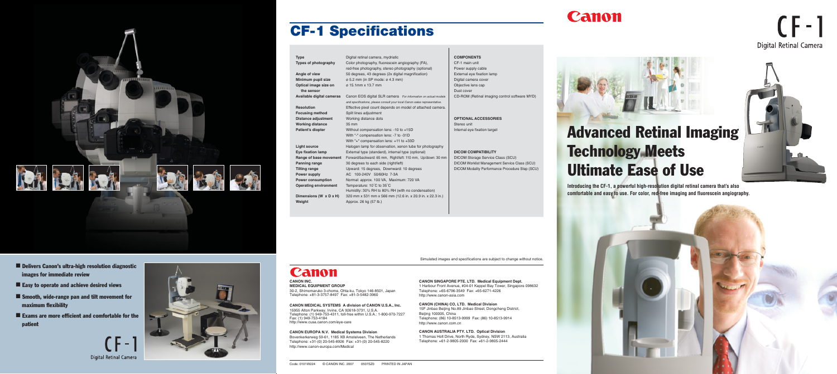■ Delivers Canon's ultra-high resolution diagnostic images for immediate review

- Easy to operate and achieve desired views
- Smooth, wide-range pan and tilt movement for maximum flexibility
- Exams are more efficient and comfortable for the patient

**Digital Retinal Camera** 



## Canon

Code: 0101W224 © CANON INC. 2007 0507SZ0 PRINTED IN JAPAN

Simulated images and specifications are subject to change without notice.

Color photography, fluorescein angiography (FA), red-free photography, stereo photography (optional) 50 degrees, 43 degrees (2x digital magnification) ø 5.2 mm (in SP mode: ø 4.3 mm)

#### **Type Types of photography Angle of view Minimum pupil size Optical image size on the sensor Available digital cameras** Canon EOS digital SLR camera *For information on actual models*  **Resolution Focusing method Distance adjustment Working distance Patient's diopter Light source Eye fixation lamp Range of base movement Panning range Tilting range Power supply Power consumption Operating environment Dimensions (W x D x H) Weigh** Digital retinal camera, mydriatic ø 15.1mm x 13.7 mm *and specifications, please consult your local Canon sales representative.* Effective pixel count depends on model of attached camera. Split lines adjustment Working distance dots 35 mm AC 100-240V 50/60Hz 7-3A Temperature: 10˚C to 35˚C Approx. 26 kg (57 lb.)

Without compensation lens: -10 to +15D With "-" compensation lens: -7 to -31D With "+" compensation lens: +11 to +33D Halogen lamp for observation, xenon tube for photography External type (standard), internal type (optional) Forward/backward: 65 mm, Right/left: 110 mm, Up/down: 30 mm 30 degrees to each side (right/left) Upward: 15 degrees, Downward: 10 degrees Normal: approx. 100 VA, Maximum: 720 VA Humidity: 30% RH to 80% RH (with no condensation) 320 mm x 531 mm x 566 mm (12.6 in. x 20.9 in. x 22.3 in.)

#### **COMPONENTS**

CF-1 main unit Power supply cable External eye fixation lamp Digital camera cover Objective lens cap Dust cover CD-ROM (Retinal imaging control software MYD)

**OPTIONAL ACCESSORIES** Stereo unit Internal eye fixation target

**DICOM COMPATIBILITY**

DICOM Storage Service Class (SCU) DICOM Worklist Management Service Class (SCU) DICOM Modality Performance Procedure Step (SCU)



# **CF-1 Specifications**

**CANON SINGAPORE PTE. LTD. Medical Equipment Dept.** 1 Harbour Front Avenue, #04-01 Keppel Bay Tower, Singapore 098632 Telephone: +65-6796-3549 Fax: +65-6271-4226 http://www.canon-asia.com

**CANON (CHINA) CO, LTD. Medical Division** 15F Jinbao Beijing No.89 Jinbao Street, Dongcheng District, Beijing 100005, China Telephone: (86) 10-8513-9999 Fax: (86) 10-8513-9914 http://www.canon.com.cn

# Canon

**CANON AUSTRALIA PTY. LTD. Optical Division** 1 Thomas Holt Drive, North Ryde, Sydney, NSW 2113, Australia Telephone: +61-2-9805-2000 Fax: +61-2-9805-2444



| <u>Commercial</u>                                                                                                                                                         |  |
|---------------------------------------------------------------------------------------------------------------------------------------------------------------------------|--|
| <b>CANON INC.</b><br><b>MEDICAL EQUIPMENT GROUP</b>                                                                                                                       |  |
| 30-2, Shimomaruko 3-chome, Ohta-ku, Tokyo 146-8501, Japan<br>Telephone: +81-3-3757-8497    Fax: +81-3-5482-3960<br>CANON MEDICAL SYSTEMS A division of CANON U.S.A., Inc. |  |
|                                                                                                                                                                           |  |
| 15955 Alton Parkway, Irvine, CA 92618-3731, U.S.A.<br>Telephone: (1) 949-753-4311, toll-free within U.S.A.: 1-800-970-7227<br>Fax: (1) 949-753-4184                       |  |
| http://www.cusa.canon.com/eye-care                                                                                                                                        |  |
| <b>CANON EUROPA N.V. Medical Systems Division</b>                                                                                                                         |  |
| Bovenkerkerweg 59-61, 1185 XB Amstelveen, The Netherlands                                                                                                                 |  |
| Telephone: +31-(0) 20-545-8926  Fax: +31-(0) 20-545-8220                                                                                                                  |  |

http://www.canon-europa.com/Medical

# Advanced Retinal Imaging Technology Meets Ultimate Ease of Use



 $(F-1)$ 

**Digital Retinal Camera** 

**Introducing the CF-1, a powerful high-resolution digital retinal camera that's also comfortable and easy to use. For color, red-free imaging and fluorescein angiography.**